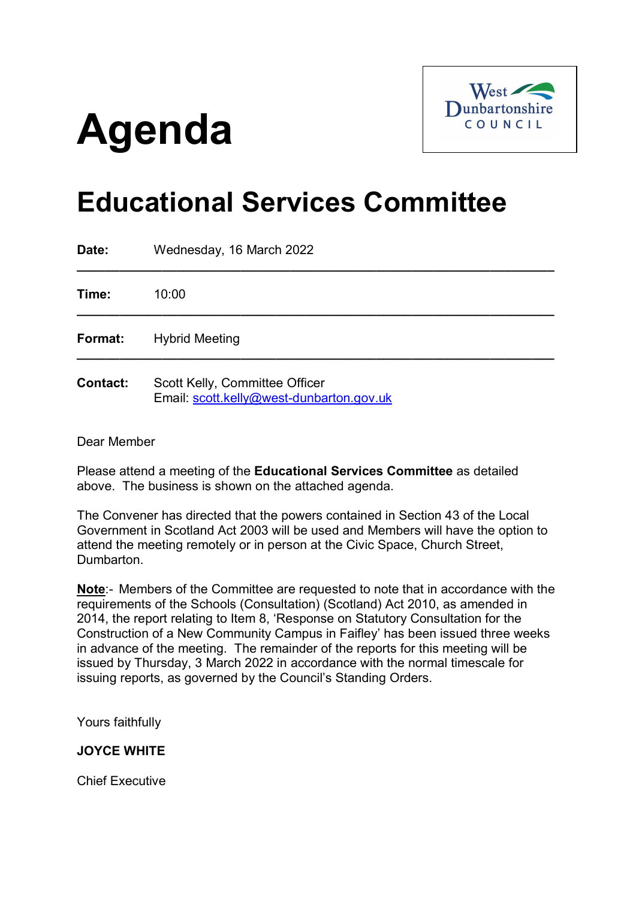# **Agenda**



# **Educational Services Committee**

| Date:           | Wednesday, 16 March 2022                                                   |
|-----------------|----------------------------------------------------------------------------|
| Time:           | 10:00                                                                      |
| Format:         | <b>Hybrid Meeting</b>                                                      |
| <b>Contact:</b> | Scott Kelly, Committee Officer<br>Email: scott.kelly@west-dunbarton.gov.uk |

Dear Member

Please attend a meeting of the **Educational Services Committee** as detailed above. The business is shown on the attached agenda.

The Convener has directed that the powers contained in Section 43 of the Local Government in Scotland Act 2003 will be used and Members will have the option to attend the meeting remotely or in person at the Civic Space, Church Street, Dumbarton.

**Note**:- Members of the Committee are requested to note that in accordance with the requirements of the Schools (Consultation) (Scotland) Act 2010, as amended in 2014, the report relating to Item 8, 'Response on Statutory Consultation for the Construction of a New Community Campus in Faifley' has been issued three weeks in advance of the meeting. The remainder of the reports for this meeting will be issued by Thursday, 3 March 2022 in accordance with the normal timescale for issuing reports, as governed by the Council's Standing Orders.

Yours faithfully

# **JOYCE WHITE**

Chief Executive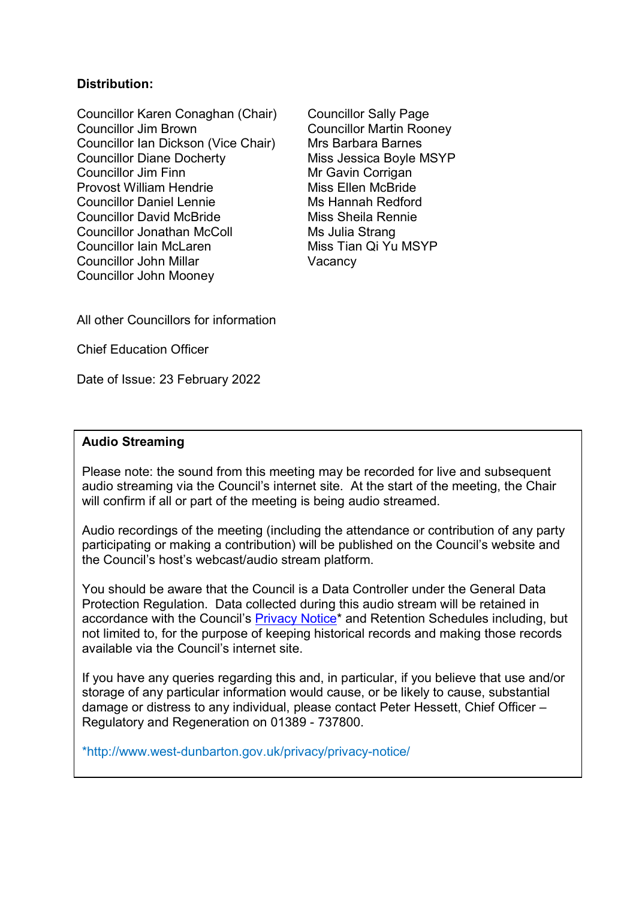# **Distribution:**

Councillor Karen Conaghan (Chair) Councillor Sally Page Councillor Jim Brown Councillor Martin Rooney Councillor Ian Dickson (Vice Chair) Mrs Barbara Barnes Councillor Diane Docherty<br>
Councillor Jim Finn<br>
Mr Gavin Corrigan Provost William Hendrie Miss Ellen McBride Councillor Daniel Lennie Ms Hannah Redford Councillor David McBride Miss Sheila Rennie Councillor Jonathan McColl Ms Julia Strang Councillor Iain McLaren Miss Tian Qi Yu MSYP Councillor John Millar Vacancy Councillor John Mooney

Mr Gavin Corrigan

All other Councillors for information

Chief Education Officer

Date of Issue: 23 February 2022

# **Audio Streaming**

Please note: the sound from this meeting may be recorded for live and subsequent audio streaming via the Council's internet site. At the start of the meeting, the Chair will confirm if all or part of the meeting is being audio streamed.

Audio recordings of the meeting (including the attendance or contribution of any party participating or making a contribution) will be published on the Council's website and the Council's host's webcast/audio stream platform.

You should be aware that the Council is a Data Controller under the General Data Protection Regulation. Data collected during this audio stream will be retained in accordance with the Council's [Privacy Notice\\*](http://www.west-dunbarton.gov.uk/privacy/privacy-notice/) and Retention Schedules including, but not limited to, for the purpose of keeping historical records and making those records available via the Council's internet site.

If you have any queries regarding this and, in particular, if you believe that use and/or storage of any particular information would cause, or be likely to cause, substantial damage or distress to any individual, please contact Peter Hessett, Chief Officer – Regulatory and Regeneration on 01389 - 737800.

\*http://www.west-dunbarton.gov.uk/privacy/privacy-notice/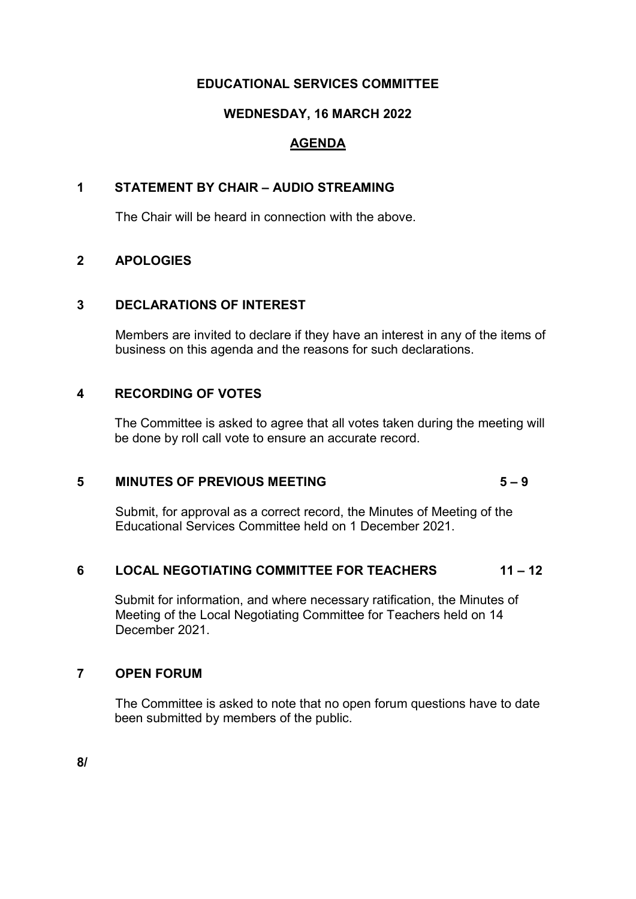# **EDUCATIONAL SERVICES COMMITTEE**

# **WEDNESDAY, 16 MARCH 2022**

# **AGENDA**

# **1 STATEMENT BY CHAIR – AUDIO STREAMING**

The Chair will be heard in connection with the above.

# **2 APOLOGIES**

# **3 DECLARATIONS OF INTEREST**

Members are invited to declare if they have an interest in any of the items of business on this agenda and the reasons for such declarations.

# **4 RECORDING OF VOTES**

The Committee is asked to agree that all votes taken during the meeting will be done by roll call vote to ensure an accurate record.

# **5 MINUTES OF PREVIOUS MEETING 5 – 9**

Submit, for approval as a correct record, the Minutes of Meeting of the Educational Services Committee held on 1 December 2021.

# **6 LOCAL NEGOTIATING COMMITTEE FOR TEACHERS 11 – 12**

Submit for information, and where necessary ratification, the Minutes of Meeting of the Local Negotiating Committee for Teachers held on 14 December 2021.

# **7 OPEN FORUM**

The Committee is asked to note that no open forum questions have to date been submitted by members of the public.

**8/**